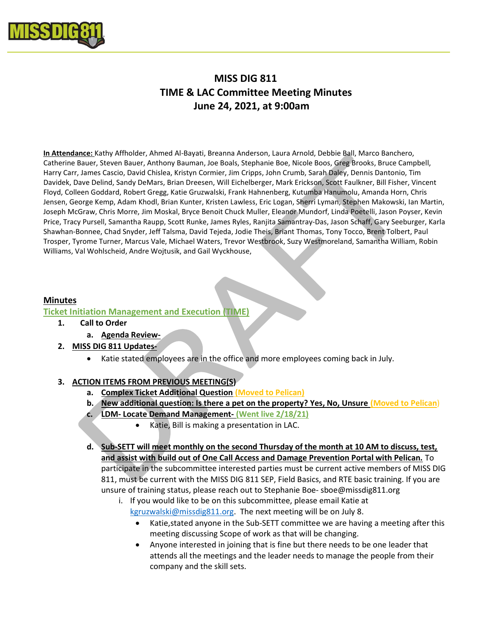

# MISS DIG 811 TIME & LAC Committee Meeting Minutes June 24, 2021, at 9:00am

In Attendance: Kathy Affholder, Ahmed Al-Bayati, Breanna Anderson, Laura Arnold, Debbie Ball, Marco Banchero, Catherine Bauer, Steven Bauer, Anthony Bauman, Joe Boals, Stephanie Boe, Nicole Boos, Greg Brooks, Bruce Campbell, Harry Carr, James Cascio, David Chislea, Kristyn Cormier, Jim Cripps, John Crumb, Sarah Daley, Dennis Dantonio, Tim Davidek, Dave Delind, Sandy DeMars, Brian Dreesen, Will Eichelberger, Mark Erickson, Scott Faulkner, Bill Fisher, Vincent Floyd, Colleen Goddard, Robert Gregg, Katie Gruzwalski, Frank Hahnenberg, Kutumba Hanumolu, Amanda Horn, Chris Jensen, George Kemp, Adam Khodl, Brian Kunter, Kristen Lawless, Eric Logan, Sherri Lyman, Stephen Makowski, Ian Martin, Joseph McGraw, Chris Morre, Jim Moskal, Bryce Benoit Chuck Muller, Eleanor Mundorf, Linda Poetelli, Jason Poyser, Kevin Price, Tracy Pursell, Samantha Raupp, Scott Runke, James Ryles, Ranjita Samantray-Das, Jason Schaff, Gary Seeburger, Karla Shawhan-Bonnee, Chad Snyder, Jeff Talsma, David Tejeda, Jodie Theis, Briant Thomas, Tony Tocco, Brent Tolbert, Paul Trosper, Tyrome Turner, Marcus Vale, Michael Waters, Trevor Westbrook, Suzy Westmoreland, Samantha William, Robin Williams, Val Wohlscheid, Andre Wojtusik, and Gail Wyckhouse,

## Minutes

#### Ticket Initiation Management and Execution (TIME)

- 1. Call to Order
	- a. Agenda Review-
- 2. MISS DIG 811 Updates-
	- Katie stated employees are in the office and more employees coming back in July.

#### 3. ACTION ITEMS FROM PREVIOUS MEETING(S)

- a. Complex Ticket Additional Question (Moved to Pelican)
- b. New additional question: Is there a pet on the property? Yes, No, Unsure (Moved to Pelican)
- c. LDM- Locate Demand Management- (Went live 2/18/21)
	- Katie, Bill is making a presentation in LAC.
- d. Sub-SETT will meet monthly on the second Thursday of the month at 10 AM to discuss, test, and assist with build out of One Call Access and Damage Prevention Portal with Pelican. To participate in the subcommittee interested parties must be current active members of MISS DIG 811, must be current with the MISS DIG 811 SEP, Field Basics, and RTE basic training. If you are unsure of training status, please reach out to Stephanie Boe- sboe@missdig811.org

i. If you would like to be on this subcommittee, please email Katie at kgruzwalski@missdig811.org. The next meeting will be on July 8.

- Katie, stated anyone in the Sub-SETT committee we are having a meeting after this meeting discussing Scope of work as that will be changing.
- Anyone interested in joining that is fine but there needs to be one leader that attends all the meetings and the leader needs to manage the people from their company and the skill sets.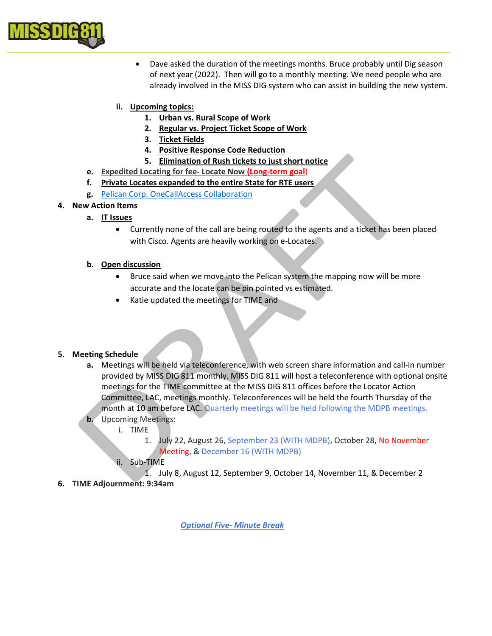

- Dave asked the duration of the meetings months. Bruce probably until Dig season of next year (2022). Then will go to a monthly meeting. We need people who are already involved in the MISS DIG system who can assist in building the new system.
- ii. Upcoming topics:
	- 1. Urban vs. Rural Scope of Work
	- 2. Regular vs. Project Ticket Scope of Work
	- 3. Ticket Fields
	- 4. Positive Response Code Reduction
	- 5. Elimination of Rush tickets to just short notice
- e. Expedited Locating for fee- Locate Now (Long-term goal)
- f. Private Locates expanded to the entire State for RTE users
- g. Pelican Corp. OneCallAccess Collaboration

## 4. New Action Items

- a. IT Issues
	- Currently none of the call are being routed to the agents and a ticket has been placed with Cisco. Agents are heavily working on e-Locates.

## b. Open discussion

- Bruce said when we move into the Pelican system the mapping now will be more accurate and the locate can be pin pointed vs estimated.
- Katie updated the meetings for TIME and

## 5. Meeting Schedule

- a. Meetings will be held via teleconference, with web screen share information and call-in number provided by MISS DIG 811 monthly. MISS DIG 811 will host a teleconference with optional onsite meetings for the TIME committee at the MISS DIG 811 offices before the Locator Action Committee, LAC, meetings monthly. Teleconferences will be held the fourth Thursday of the month at 10 am before LAC. Quarterly meetings will be held following the MDPB meetings.
- b. Upcoming Meetings:
	- i. TIME
		- 1. July 22, August 26, September 23 (WITH MDPB), October 28, No November Meeting, & December 16 (WITH MDPB)
	- ii. Sub-TIME
		- 1. July 8, August 12, September 9, October 14, November 11, & December 2
- 6. TIME Adjournment: 9:34am

Optional Five- Minute Break